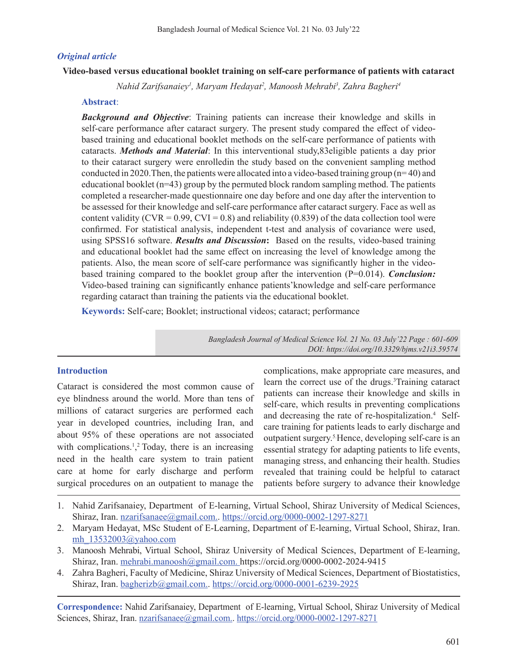#### *Original article*

#### **Video-based versus educational booklet training on self-care performance of patients with cataract**

*Nahid Zarifsanaiey1 , Maryam Hedayat2 , Manoosh Mehrabi3 , Zahra Bagheri4*

#### **Abstract**:

*Background and Objective*: Training patients can increase their knowledge and skills in self-care performance after cataract surgery. The present study compared the effect of videobased training and educational booklet methods on the self-care performance of patients with cataracts. *Methods and Material*: In this interventional study,83eligible patients a day prior to their cataract surgery were enrolledin the study based on the convenient sampling method conducted in 2020. Then, the patients were allocated into a video-based training group ( $n=40$ ) and educational booklet  $(n=43)$  group by the permuted block random sampling method. The patients completed a researcher-made questionnaire one day before and one day after the intervention to be assessed for their knowledge and self-care performance after cataract surgery. Face as well as content validity (CVR =  $0.99$ , CVI =  $0.8$ ) and reliability (0.839) of the data collection tool were confirmed. For statistical analysis, independent t-test and analysis of covariance were used, using SPSS16 software. *Results and Discussion***:** Based on the results, video-based training and educational booklet had the same effect on increasing the level of knowledge among the patients. Also, the mean score of self-care performance was significantly higher in the videobased training compared to the booklet group after the intervention (P=0.014). *Conclusion:*  Video-based training can significantly enhance patients'knowledge and self-care performance regarding cataract than training the patients via the educational booklet.

**Keywords:** Self-care; Booklet; instructional videos; cataract; performance

*Bangladesh Journal of Medical Science Vol. 21 No. 03 July'22 Page : 601-609 DOI: https://doi.org/10.3329/bjms.v21i3.59574*

#### **Introduction**

Cataract is considered the most common cause of eye blindness around the world. More than tens of millions of cataract surgeries are performed each year in developed countries, including Iran, and about 95% of these operations are not associated with complications.<sup>1</sup>,<sup>2</sup> Today, there is an increasing need in the health care system to train patient care at home for early discharge and perform surgical procedures on an outpatient to manage the

complications, make appropriate care measures, and learn the correct use of the drugs.<sup>3</sup>Training cataract patients can increase their knowledge and skills in self-care, which results in preventing complications and decreasing the rate of re-hospitalization.<sup>4</sup> Selfcare training for patients leads to early discharge and outpatient surgery.5.Hence, developing self-care is an essential strategy for adapting patients to life events, managing stress, and enhancing their health. Studies revealed that training could be helpful to cataract patients before surgery to advance their knowledge

- 1. Nahid Zarifsanaiey, Department of E-learning, Virtual School, Shiraz University of Medical Sciences, Shiraz, Iran. nzarifsanaee@gmail.com.. https://orcid.org/0000-0002-1297-8271
- 2. Maryam Hedayat, MSc Student of E-Learning, Department of E-learning, Virtual School, Shiraz, Iran. mh\_13532003@yahoo.com
- 3. Manoosh Mehrabi, Virtual School, Shiraz University of Medical Sciences, Department of E-learning, Shiraz, Iran. mehrabi.manoosh@gmail.com. https://orcid.org/0000-0002-2024-9415
- 4. Zahra Bagheri, Faculty of Medicine, Shiraz University of Medical Sciences, Department of Biostatistics, Shiraz, Iran. bagherizb@gmail.com.. https://orcid.org/0000-0001-6239-2925

**Correspondence:** Nahid Zarifsanaiey, Department of E-learning, Virtual School, Shiraz University of Medical Sciences, Shiraz, Iran. nzarifsanaee@gmail.com.. https://orcid.org/0000-0002-1297-8271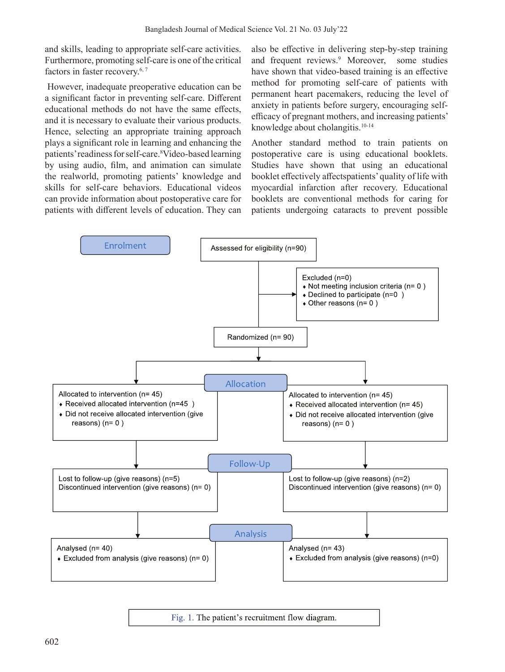and skills, leading to appropriate self-care activities. Furthermore, promoting self-care is one of the critical factors in faster recovery.<sup>6, 7</sup>

However, inadequate preoperative education can be a significant factor in preventing self-care. Different educational methods do not have the same effects, and it is necessary to evaluate their various products. Hence, selecting an appropriate training approach plays a significant role in learning and enhancing the patients' readiness for self-care. <sup>8</sup>Video-based learning by using audio, film, and animation can simulate the realworld, promoting patients' knowledge and skills for self-care behaviors. Educational videos can provide information about postoperative care for patients with different levels of education. They can

also be effective in delivering step-by-step training and frequent reviews.<sup>9</sup> Moreover, some studies have shown that video-based training is an effective method for promoting self-care of patients with permanent heart pacemakers, reducing the level of anxiety in patients before surgery, encouraging selfefficacy of pregnant mothers, and increasing patients' knowledge about cholangitis.<sup>10-14</sup>

Another standard method to train patients on postoperative care is using educational booklets. Studies have shown that using an educational booklet effectively affectspatients'quality of life with myocardial infarction after recovery. Educational booklets are conventional methods for caring for patients undergoing cataracts to prevent possible



Fig. 1. The patient's recruitment flow diagram.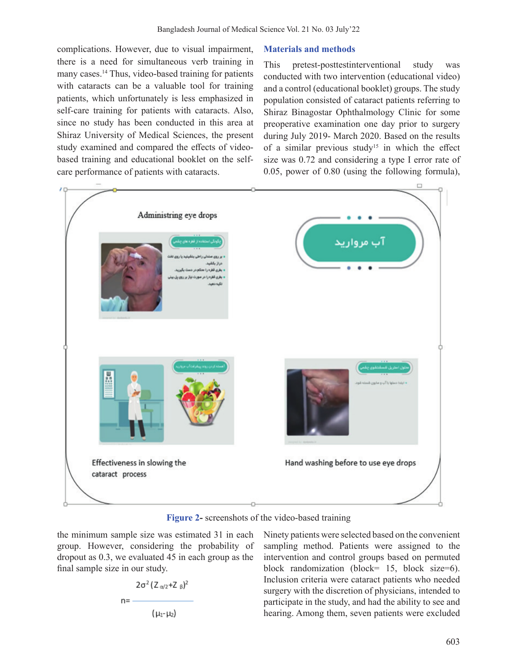complications. However, due to visual impairment, there is a need for simultaneous verb training in many cases.<sup>14</sup> Thus, video-based training for patients with cataracts can be a valuable tool for training patients, which unfortunately is less emphasized in self-care training for patients with cataracts. Also, since no study has been conducted in this area at Shiraz University of Medical Sciences, the present study examined and compared the effects of videobased training and educational booklet on the selfcare performance of patients with cataracts.

## **Materials and methods**

This pretest-posttestinterventional study was conducted with two intervention (educational video) and a control (educational booklet) groups. The study population consisted of cataract patients referring to Shiraz Binagostar Ophthalmology Clinic for some preoperative examination one day prior to surgery during July 2019- March 2020. Based on the results of a similar previous study<sup>15</sup> in which the effect size was 0.72 and considering a type I error rate of 0.05, power of 0.80 (using the following formula),



**Figure 2-** screenshots of the video-based training

the minimum sample size was estimated 31 in each group. However, considering the probability of dropout as 0.3, we evaluated 45 in each group as the final sample size in our study.

$$
n=\frac{2\sigma^2 (Z_{\alpha/2}+Z_{\beta})^2}{(\mu_1-\mu_2)}
$$

Ninety patients were selected based on the convenient sampling method. Patients were assigned to the intervention and control groups based on permuted block randomization (block= 15, block size=6). Inclusion criteria were cataract patients who needed surgery with the discretion of physicians, intended to participate in the study, and had the ability to see and hearing. Among them, seven patients were excluded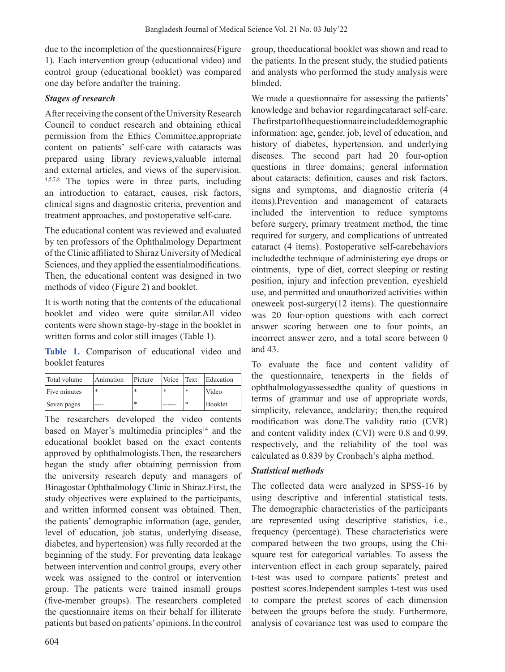due to the incompletion of the questionnaires(Figure 1). Each intervention group (educational video) and control group (educational booklet) was compared one day before andafter the training.

# *Stages of research*

After receiving the consent of the University Research Council to conduct research and obtaining ethical permission from the Ethics Committee,appropriate content on patients' self-care with cataracts was prepared using library reviews,valuable internal and external articles, and views of the supervision. 4,5,7,8 The topics were in three parts, including an introduction to cataract, causes, risk factors, clinical signs and diagnostic criteria, prevention and treatment approaches, and postoperative self-care.

The educational content was reviewed and evaluated by ten professors of the Ophthalmology Department of the Clinic affiliated to Shiraz University of Medical Sciences, and they applied the essentialmodifications. Then, the educational content was designed in two methods of video (Figure 2) and booklet.

It is worth noting that the contents of the educational booklet and video were quite similar.All video contents were shown stage-by-stage in the booklet in written forms and color still images (Table 1).

**Table 1.** Comparison of educational video and booklet features

| Total volume | Animation | Picture | Voice | Text   | Education |
|--------------|-----------|---------|-------|--------|-----------|
| Five minutes | *         |         |       | l∗     | Video     |
| Seven pages  |           | $\ast$  |       | $\ast$ | Booklet   |

The researchers developed the video contents based on Mayer's multimedia principles<sup>14</sup> and the educational booklet based on the exact contents approved by ophthalmologists.Then, the researchers began the study after obtaining permission from the university research deputy and managers of Binagostar Ophthalmology Clinic in Shiraz.First, the study objectives were explained to the participants, and written informed consent was obtained. Then, the patients' demographic information (age, gender, level of education, job status, underlying disease, diabetes, and hypertension) was fully recorded at the beginning of the study. For preventing data leakage between intervention and control groups, every other week was assigned to the control or intervention group. The patients were trained insmall groups (five-member groups). The researchers completed the questionnaire items on their behalf for illiterate patients but based on patients' opinions. In the control group, theeducational booklet was shown and read to the patients. In the present study, the studied patients and analysts who performed the study analysis were blinded.

We made a questionnaire for assessing the patients' knowledge and behavior regardingcataract self-care. Thefirstpartofthequestionnaireincludeddemographic information: age, gender, job, level of education, and history of diabetes, hypertension, and underlying diseases. The second part had 20 four-option questions in three domains; general information about cataracts: definition, causes and risk factors, signs and symptoms, and diagnostic criteria (4 items).Prevention and management of cataracts included the intervention to reduce symptoms before surgery, primary treatment method, the time required for surgery, and complications of untreated cataract (4 items). Postoperative self-carebehaviors includedthe technique of administering eye drops or ointments, type of diet, correct sleeping or resting position, injury and infection prevention, eyeshield use, and permitted and unauthorized activities within oneweek post-surgery(12 items). The questionnaire was 20 four-option questions with each correct answer scoring between one to four points, an incorrect answer zero, and a total score between 0 and 43.

To evaluate the face and content validity of the questionnaire, tenexperts in the fields of ophthalmologyassessedthe quality of questions in terms of grammar and use of appropriate words, simplicity, relevance, andclarity; then,the required modification was done.The validity ratio (CVR) and content validity index (CVI) were 0.8 and 0.99, respectively, and the reliability of the tool was calculated as 0.839 by Cronbach's alpha method.

# *Statistical methods*

The collected data were analyzed in SPSS-16 by using descriptive and inferential statistical tests. The demographic characteristics of the participants are represented using descriptive statistics, i.e., frequency (percentage). These characteristics were compared between the two groups, using the Chisquare test for categorical variables. To assess the intervention effect in each group separately, paired t-test was used to compare patients' pretest and posttest scores.Independent samples t-test was used to compare the pretest scores of each dimension between the groups before the study. Furthermore, analysis of covariance test was used to compare the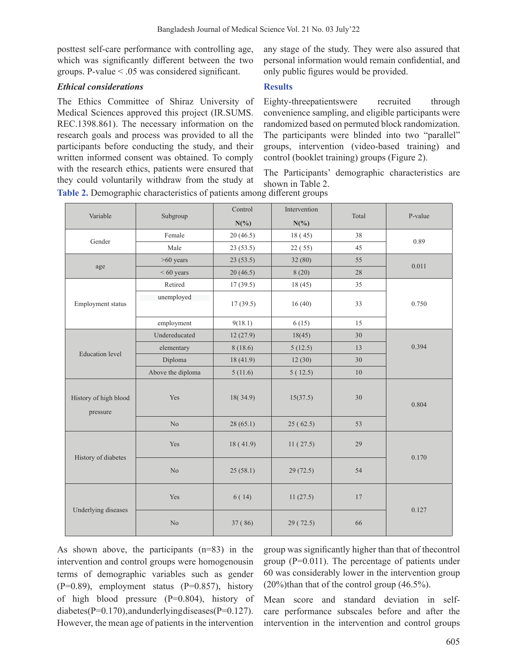posttest self-care performance with controlling age, which was significantly different between the two groups. P-value < .05 was considered significant.

### *Ethical considerations*

The Ethics Committee of Shiraz University of Medical Sciences approved this project (IR.SUMS. REC.1398.861). The necessary information on the research goals and process was provided to all the participants before conducting the study, and their written informed consent was obtained. To comply with the research ethics, patients were ensured that they could voluntarily withdraw from the study at **Table 2.** Demographic characteristics of patients among different groups

any stage of the study. They were also assured that personal information would remain confidential, and only public figures would be provided.

### **Results**

Eighty-threepatientswere recruited through convenience sampling, and eligible participants were randomized based on permuted block randomization. The participants were blinded into two "parallel" groups, intervention (video-based training) and control (booklet training) groups (Figure 2).

The Participants' demographic characteristics are shown in Table 2.

| Variable                          | Subgroup          | Control<br>$N(\%)$ | Intervention<br>$N(\%)$ | Total | P-value |
|-----------------------------------|-------------------|--------------------|-------------------------|-------|---------|
|                                   | Female            | 20(46.5)           | 18(45)                  | 38    |         |
| Gender                            | Male              | 23(53.5)           | 22(55)                  | 45    | 0.89    |
| age                               | $>60$ years       | 23(53.5)           | 32(80)                  | 55    | 0.011   |
|                                   | $< 60$ years      | 20(46.5)           | 8(20)                   | 28    |         |
|                                   | Retired           | 17(39.5)           | 18(45)                  | 35    |         |
| Employment status                 | unemployed        | 17(39.5)           | 16(40)                  | 33    | 0.750   |
|                                   | employment        | 9(18.1)            | 6(15)                   | 15    |         |
|                                   | Undereducated     | 12(27.9)           | 18(45)                  | 30    |         |
| <b>Education</b> level            | elementary        | 8(18.6)            | 5(12.5)                 | 13    | 0.394   |
|                                   | Diploma           | 18 (41.9)          | 12(30)                  | 30    |         |
|                                   | Above the diploma | 5(11.6)            | 5(12.5)                 | 10    |         |
| History of high blood<br>pressure | Yes               | 18(34.9)           | 15(37.5)                | 30    | 0.804   |
|                                   | No                | 28(65.1)           | 25(62.5)                | 53    |         |
| History of diabetes               | Yes               | 18(41.9)           | 11(27.5)                | 29    | 0.170   |
|                                   | No                | 25(58.1)           | 29 (72.5)               | 54    |         |
| Underlying diseases               | Yes               | 6(14)              | 11(27.5)                | 17    | 0.127   |
|                                   | No                | 37 (86)            | 29 (72.5)               | 66    |         |

As shown above, the participants (n=83) in the intervention and control groups were homogenousin terms of demographic variables such as gender (P=0.89), employment status (P=0.857), history of high blood pressure  $(P=0.804)$ , history of diabetes(P=0.170),andunderlyingdiseases(P=0.127). However, the mean age of patients in the intervention

group was significantly higher than that of thecontrol group (P=0.011). The percentage of patients under 60 was considerably lower in the intervention group  $(20\%)$ than that of the control group  $(46.5\%)$ .

Mean score and standard deviation in selfcare performance subscales before and after the intervention in the intervention and control groups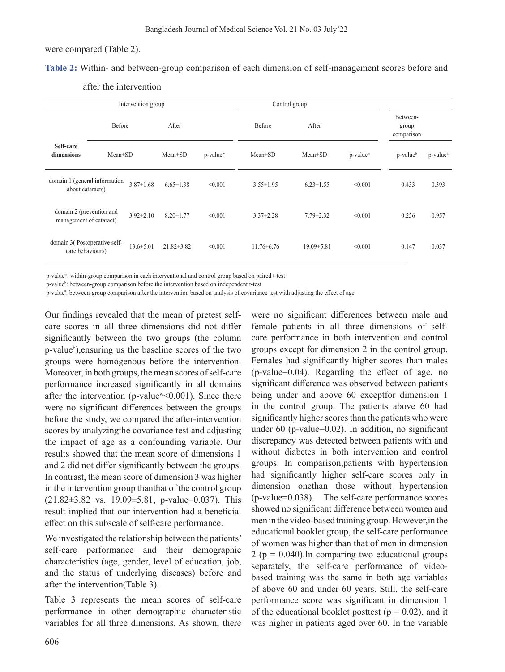were compared (Table 2).

**Table 2:** Within- and between-group comparison of each dimension of self-management scores before and

| Intervention group                                  |               |                 |                  | Control group        |                  |                  |                      |                                 |                      |
|-----------------------------------------------------|---------------|-----------------|------------------|----------------------|------------------|------------------|----------------------|---------------------------------|----------------------|
|                                                     | Before        |                 | After            |                      | Before           | After            |                      | Between-<br>group<br>comparison |                      |
| Self-care<br>dimensions                             | $Mean \pm SD$ |                 | $Mean \pm SD$    | p-value <sup>w</sup> | $Mean \pm SD$    | $Mean \pm SD$    | p-value <sup>w</sup> | p-value <sup>b</sup>            | p-value <sup>a</sup> |
| domain 1 (general information<br>about cataracts)   |               | $3.87 \pm 1.68$ | $6.65 \pm 1.38$  | < 0.001              | $3.55 \pm 1.95$  | $6.23 \pm 1.55$  | < 0.001              | 0.433                           | 0.393                |
| domain 2 (prevention and<br>management of cataract) |               | $3.92 \pm 2.10$ | $8.20 \pm 1.77$  | < 0.001              | $3.37 \pm 2.28$  | $7.79 \pm 2.32$  | < 0.001              | 0.256                           | 0.957                |
| domain 3(Postoperative self-<br>care behaviours)    |               | $13.6 \pm 5.01$ | $21.82 \pm 3.82$ | < 0.001              | $11.76 \pm 6.76$ | $19.09 \pm 5.81$ | < 0.001              | 0.147                           | 0.037                |

after the intervention

p-valuew: within-group comparison in each interventional and control group based on paired t-test

p-value<sup>b</sup>: between-group comparison before the intervention based on independent t-test

p-value<sup>a</sup>: between-group comparison after the intervention based on analysis of covariance test with adjusting the effect of age

Our findings revealed that the mean of pretest selfcare scores in all three dimensions did not differ significantly between the two groups (the column p-valueb ),ensuring us the baseline scores of the two groups were homogenous before the intervention. Moreover, in both groups, the mean scores of self-care performance increased significantly in all domains after the intervention (p-value<sup>w</sup><0.001). Since there were no significant differences between the groups before the study, we compared the after-intervention scores by analyzingthe covariance test and adjusting the impact of age as a confounding variable. Our results showed that the mean score of dimensions 1 and 2 did not differ significantly between the groups. In contrast, the mean score of dimension 3 was higher in the intervention group thanthat of the control group  $(21.82 \pm 3.82 \text{ vs. } 19.09 \pm 5.81, \text{ p-value}=0.037)$ . This result implied that our intervention had a beneficial effect on this subscale of self-care performance.

We investigated the relationship between the patients' self-care performance and their demographic characteristics (age, gender, level of education, job, and the status of underlying diseases) before and after the intervention(Table 3).

Table 3 represents the mean scores of self-care performance in other demographic characteristic variables for all three dimensions. As shown, there

were no significant differences between male and female patients in all three dimensions of selfcare performance in both intervention and control groups except for dimension 2 in the control group. Females had significantly higher scores than males (p-value=0.04). Regarding the effect of age, no significant difference was observed between patients being under and above 60 exceptfor dimension 1 in the control group. The patients above 60 had significantly higher scores than the patients who were under 60 (p-value=0.02). In addition, no significant discrepancy was detected between patients with and without diabetes in both intervention and control groups. In comparison,patients with hypertension had significantly higher self-care scores only in dimension onethan those without hypertension (p-value=0.038). The self-care performance scores showed no significant difference between women and men in the video-based training group.However,in the educational booklet group, the self-care performance of women was higher than that of men in dimension 2 ( $p = 0.040$ ). In comparing two educational groups separately, the self-care performance of videobased training was the same in both age variables of above 60 and under 60 years. Still, the self-care performance score was significant in dimension 1 of the educational booklet posttest ( $p = 0.02$ ), and it was higher in patients aged over 60. In the variable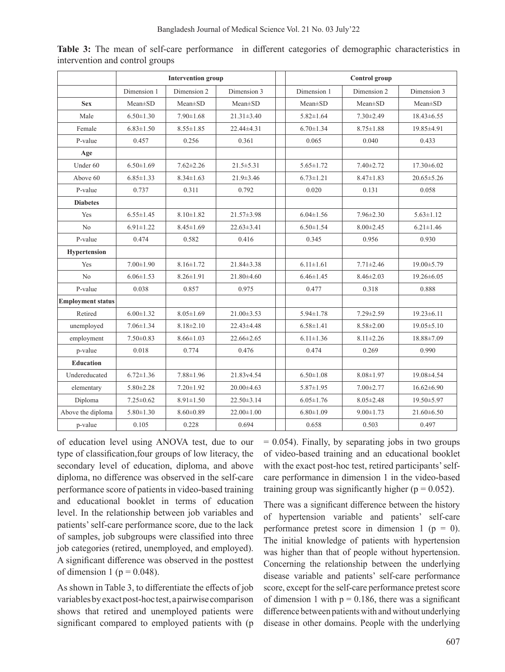|                          | <b>Intervention group</b> |                 |                  |  | Control group   |                 |                  |
|--------------------------|---------------------------|-----------------|------------------|--|-----------------|-----------------|------------------|
|                          | Dimension 1               | Dimension 2     | Dimension 3      |  | Dimension 1     | Dimension 2     | Dimension 3      |
| <b>Sex</b>               | $Mean \pm SD$             | $Mean \pm SD$   | $Mean \pm SD$    |  | $Mean \pm SD$   | $Mean \pm SD$   | $Mean \pm SD$    |
| Male                     | $6.50 \pm 1.30$           | $7.90 \pm 1.68$ | $21.31 \pm 3.40$ |  |                 | $7.30 \pm 2.49$ | $18.43\pm 6.55$  |
| Female                   | $6.83 \pm 1.50$           | $8.55 \pm 1.85$ | 22.44±4.31       |  | $6.70 \pm 1.34$ | $8.75 \pm 1.88$ | 19.85±4.91       |
| P-value                  | 0.457                     | 0.256           | 0.361            |  | 0.065           | 0.040           | 0.433            |
| Age                      |                           |                 |                  |  |                 |                 |                  |
| Under 60                 | $6.50 \pm 1.69$           | $7.62 \pm 2.26$ | $21.5 \pm 5.31$  |  | $5.65 \pm 1.72$ | $7.40 \pm 2.72$ | $17.30 \pm 6.02$ |
| Above 60                 | $6.85 \pm 1.33$           | $8.34 \pm 1.63$ | $21.9 \pm 3.46$  |  | $6.73 \pm 1.21$ | $8.47 \pm 1.83$ | $20.65 \pm 5.26$ |
| P-value                  | 0.737                     | 0.311           | 0.792            |  | 0.020           | 0.131           | 0.058            |
| <b>Diabetes</b>          |                           |                 |                  |  |                 |                 |                  |
| Yes                      | $6.55 \pm 1.45$           | $8.10 \pm 1.82$ | 21.57±3.98       |  | $6.04 \pm 1.56$ | $7.96 \pm 2.30$ | $5.63 \pm 1.12$  |
| No                       | $6.91 \pm 1.22$           | $8.45 \pm 1.69$ | $22.63 \pm 3.41$ |  | $6.50 \pm 1.54$ | $8.00 \pm 2.45$ | $6.21 \pm 1.46$  |
| P-value                  | 0.474                     | 0.582           | 0.416            |  | 0.345           | 0.956           | 0.930            |
| <b>Hypertension</b>      |                           |                 |                  |  |                 |                 |                  |
| <b>Yes</b>               | $7.00 \pm 1.90$           | $8.16 \pm 1.72$ | $21.84 \pm 3.38$ |  | $6.11 \pm 1.61$ | $7.71 \pm 2.46$ | 19.00±5.79       |
| No                       | $6.06 \pm 1.53$           | $8.26 \pm 1.91$ | 21.80±4.60       |  | $6.46 \pm 1.45$ | $8.46 \pm 2.03$ | $19.26 \pm 6.05$ |
| P-value                  | 0.038                     | 0.857           | 0.975            |  | 0.477           | 0.318           | 0.888            |
| <b>Employment status</b> |                           |                 |                  |  |                 |                 |                  |
| Retired                  | $6.00 \pm 1.32$           | $8.05 \pm 1.69$ | $21.00 \pm 3.53$ |  | $5.94 \pm 1.78$ | $7.29 \pm 2.59$ | $19.23 \pm 6.11$ |
| unemployed               | $7.06 \pm 1.34$           | $8.18 \pm 2.10$ | 22.43±4.48       |  | $6.58 \pm 1.41$ | $8.58 \pm 2.00$ | $19.05 \pm 5.10$ |
| employment               | $7.50 \pm 0.83$           | $8.66 \pm 1.03$ | 22.66±2.65       |  | $6.11 \pm 1.36$ | $8.11 \pm 2.26$ | 18.88±7.09       |
| p-value                  | 0.018                     | 0.774           | 0.476            |  | 0.474           | 0.269           | 0.990            |
| <b>Education</b>         |                           |                 |                  |  |                 |                 |                  |
| Undereducated            | $6.72 \pm 1.36$           | $7.88 \pm 1.96$ | 21.83v4.54       |  | $6.50 \pm 1.08$ | $8.08 \pm 1.97$ | 19.08±4.54       |
| elementary               | $5.80 \pm 2.28$           | $7.20 \pm 1.92$ | $20.00\pm4.63$   |  | $5.87 \pm 1.95$ | $7.00 \pm 2.77$ | $16.62 \pm 6.90$ |
| Diploma                  | $7.25 \pm 0.62$           | $8.91 \pm 1.50$ | $22.50 \pm 3.14$ |  | $6.05 \pm 1.76$ | $8.05 \pm 2.48$ | 19.50±5.97       |
| Above the diploma        | $5.80 \pm 1.30$           | $8.60 \pm 0.89$ | $22.00 \pm 1.00$ |  | $6.80 \pm 1.09$ | $9.00 \pm 1.73$ | $21.60\pm 6.50$  |
| p-value                  | 0.105                     | 0.228           | 0.694            |  | 0.658           | 0.503           | 0.497            |

**Table 3:** The mean of self-care performance in different categories of demographic characteristics in intervention and control groups

of education level using ANOVA test, due to our type of classification,four groups of low literacy, the secondary level of education, diploma, and above diploma, no difference was observed in the self-care performance score of patients in video-based training and educational booklet in terms of education level. In the relationship between job variables and patients'self-care performance score, due to the lack of samples, job subgroups were classified into three job categories (retired, unemployed, and employed). A significant difference was observed in the posttest of dimension 1 ( $p = 0.048$ ).

As shown in Table 3, to differentiate the effects of job variablesbyexactpost-hoctest,apairwisecomparison shows that retired and unemployed patients were significant compared to employed patients with (p

 $= 0.054$ ). Finally, by separating jobs in two groups of video-based training and an educational booklet with the exact post-hoc test, retired participants' selfcare performance in dimension 1 in the video-based training group was significantly higher ( $p = 0.052$ ).

There was a significant difference between the history of hypertension variable and patients' self-care performance pretest score in dimension 1 ( $p = 0$ ). The initial knowledge of patients with hypertension was higher than that of people without hypertension. Concerning the relationship between the underlying disease variable and patients' self-care performance score, except for the self-care performance pretest score of dimension 1 with  $p = 0.186$ , there was a significant difference between patients with and without underlying disease in other domains. People with the underlying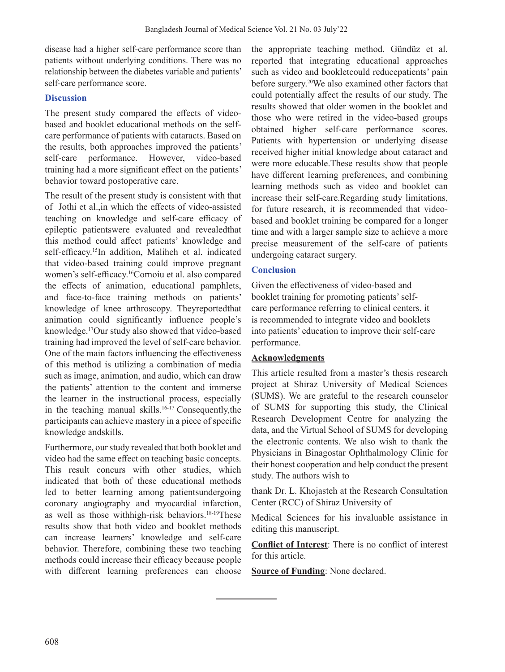disease had a higher self-care performance score than patients without underlying conditions. There was no relationship between the diabetes variable and patients' self-care performance score.

## **Discussion**

The present study compared the effects of videobased and booklet educational methods on the selfcare performance of patients with cataracts. Based on the results, both approaches improved the patients' self-care performance. However, video-based training had a more significant effect on the patients' behavior toward postoperative care.

The result of the present study is consistent with that of Jothi et al.,in which the effects of video-assisted teaching on knowledge and self-care efficacy of epileptic patientswere evaluated and revealedthat this method could affect patients' knowledge and self-efficacy.<sup>15</sup>In addition, Maliheh et al. indicated that video-based training could improve pregnant women's self-efficacy.16Cornoiu et al. also compared the effects of animation, educational pamphlets, and face-to-face training methods on patients' knowledge of knee arthroscopy. Theyreportedthat animation could significantly influence people's knowledge.17Our study also showed that video-based training had improved the level of self-care behavior. One of the main factors influencing the effectiveness of this method is utilizing a combination of media such as image, animation, and audio, which can draw the patients' attention to the content and immerse the learner in the instructional process, especially in the teaching manual skills.16-17 Consequently,the participants can achieve mastery in a piece of specific knowledge andskills.

Furthermore, our study revealed that both booklet and video had the same effect on teaching basic concepts. This result concurs with other studies, which indicated that both of these educational methods led to better learning among patientsundergoing coronary angiography and myocardial infarction, as well as those withhigh-risk behaviors.<sup>18-19</sup>These results show that both video and booklet methods can increase learners' knowledge and self-care behavior. Therefore, combining these two teaching methods could increase their efficacy because people with different learning preferences can choose the appropriate teaching method. Gündüz et al. reported that integrating educational approaches such as video and bookletcould reducepatients' pain before surgery.20We also examined other factors that could potentially affect the results of our study. The results showed that older women in the booklet and those who were retired in the video-based groups obtained higher self-care performance scores. Patients with hypertension or underlying disease received higher initial knowledge about cataract and were more educable.These results show that people have different learning preferences, and combining learning methods such as video and booklet can increase their self-care.Regarding study limitations, for future research, it is recommended that videobased and booklet training be compared for a longer time and with a larger sample size to achieve a more precise measurement of the self-care of patients undergoing cataract surgery.

### **Conclusion**

Given the effectiveness of video-based and booklet training for promoting patients'selfcare performance referring to clinical centers, it is recommended to integrate video and booklets into patients' education to improve their self-care performance.

### **Acknowledgments**

This article resulted from a master's thesis research project at Shiraz University of Medical Sciences (SUMS). We are grateful to the research counselor of SUMS for supporting this study, the Clinical Research Development Centre for analyzing the data, and the Virtual School of SUMS for developing the electronic contents. We also wish to thank the Physicians in Binagostar Ophthalmology Clinic for their honest cooperation and help conduct the present study. The authors wish to

thank Dr. L. Khojasteh at the Research Consultation Center (RCC) of Shiraz University of

Medical Sciences for his invaluable assistance in editing this manuscript.

**Conflict of Interest**: There is no conflict of interest for this article.

**Source of Funding**: None declared.